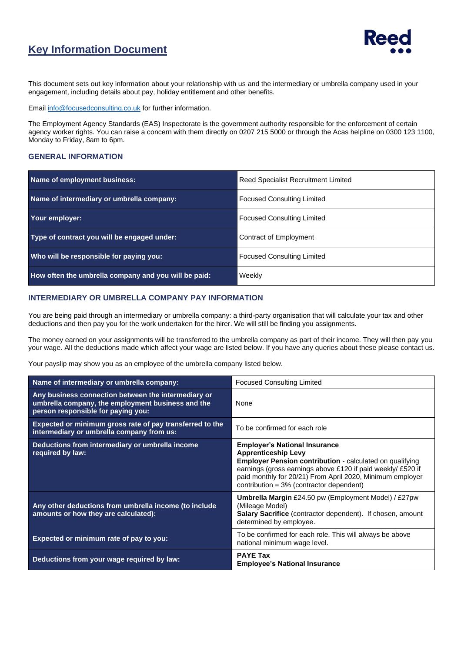## **Key Information Document**



This document sets out key information about your relationship with us and the intermediary or umbrella company used in your engagement, including details about pay, holiday entitlement and other benefits.

Emai[l info@focusedconsulting.co.uk](mailto:info@focusedconsulting.co.uk) for further information.

The Employment Agency Standards (EAS) Inspectorate is the government authority responsible for the enforcement of certain agency worker rights. You can raise a concern with them directly on 0207 215 5000 or through the Acas helpline on 0300 123 1100, Monday to Friday, 8am to 6pm.

#### **GENERAL INFORMATION**

| Name of employment business:                         | Reed Specialist Recruitment Limited |  |
|------------------------------------------------------|-------------------------------------|--|
| Name of intermediary or umbrella company:            | <b>Focused Consulting Limited</b>   |  |
| Your employer:                                       | <b>Focused Consulting Limited</b>   |  |
| Type of contract you will be engaged under:          | Contract of Employment              |  |
| Who will be responsible for paying you:              | <b>Focused Consulting Limited</b>   |  |
| How often the umbrella company and you will be paid: | Weekly                              |  |

#### **INTERMEDIARY OR UMBRELLA COMPANY PAY INFORMATION**

You are being paid through an intermediary or umbrella company: a third-party organisation that will calculate your tax and other deductions and then pay you for the work undertaken for the hirer. We will still be finding you assignments.

The money earned on your assignments will be transferred to the umbrella company as part of their income. They will then pay you your wage. All the deductions made which affect your wage are listed below. If you have any queries about these please contact us.

Your payslip may show you as an employee of the umbrella company listed below.

| Name of intermediary or umbrella company:                                                                                                      | <b>Focused Consulting Limited</b>                                                                                                                                                                                                                                                                             |  |
|------------------------------------------------------------------------------------------------------------------------------------------------|---------------------------------------------------------------------------------------------------------------------------------------------------------------------------------------------------------------------------------------------------------------------------------------------------------------|--|
| Any business connection between the intermediary or<br>umbrella company, the employment business and the<br>person responsible for paying you: | <b>None</b>                                                                                                                                                                                                                                                                                                   |  |
| Expected or minimum gross rate of pay transferred to the<br>intermediary or umbrella company from us:                                          | To be confirmed for each role                                                                                                                                                                                                                                                                                 |  |
| Deductions from intermediary or umbrella income<br>required by law:                                                                            | <b>Employer's National Insurance</b><br><b>Apprenticeship Levy</b><br><b>Employer Pension contribution - calculated on qualifying</b><br>earnings (gross earnings above £120 if paid weekly/ £520 if<br>paid monthly for 20/21) From April 2020, Minimum employer<br>contribution = 3% (contractor dependent) |  |
| Any other deductions from umbrella income (to include<br>amounts or how they are calculated):                                                  | <b>Umbrella Margin</b> £24.50 pw (Employment Model) / £27pw<br>(Mileage Model)<br><b>Salary Sacrifice</b> (contractor dependent). If chosen, amount<br>determined by employee.                                                                                                                                |  |
| Expected or minimum rate of pay to you:                                                                                                        | To be confirmed for each role. This will always be above<br>national minimum wage level.                                                                                                                                                                                                                      |  |
| Deductions from your wage required by law:                                                                                                     | <b>PAYE Tax</b><br><b>Employee's National Insurance</b>                                                                                                                                                                                                                                                       |  |